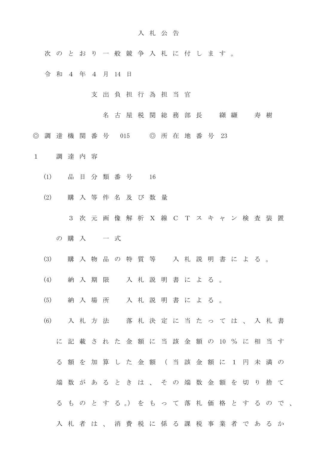## 入 札 公 告

- 次 の と お り 一 般 競 争 入 札 に 付 し ま す 。
- 令和4 年 4 月 14 日
	- 支 出 負 担 行 為 担 当 官
		- 名古屋税関総務部長 纐纈 寿樹
- ◎ 調 達 機 関 番 号 015 ◎ 所 在 地 番 号 23
- 1 調 達 内 容
	- (1) 品 目 分 類 番 号 16
	- (2) 購 入 等 件 名 及 び 数 量
		- 3 次 元 画 像 解 析 X 線 C T ス キ ャ ン 検 査 装 置
		- の 購 入 」 一 式
	- (3) 購 入 物 品 の 特 質 等 入 札 説 明 書 に よ る 。
	- (4) 納 入 期 限 入 札 説 明 書 に よ る 。
	- (5) 納 入 場 所 入 札 説 明 書 に よ る 。
	- (6) 入 札 方 法 落 札 決 定 に 当 た っ て は 、 入 札 書
		- に 記 載 さ れ た 金 額 に 当 該 金 額 の 10 % に 相 当 す
		- る 額 を 加 算 し た 金 額 ( 当 該 金 額 に 1 円 未 満 の
		- 端 数 が あ る と き は 、 そ の 端 数 金 額 を 切 り 捨 て
		- る も の と す る 。) を も っ て 落 札 価 格 と す る の で 、
		- 入 札 者 は 、 消 費 税 に 係 る 課 税 事 業 者 で あ る か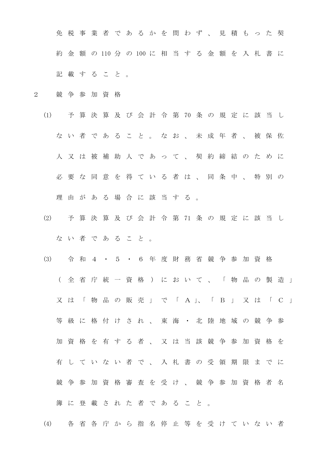免 税 事 業 者 で あ る か を 問 わ ず 、 見 積 も っ た 契 約 金 額 の 110 分 の 100 に 相 当 す る 金 額 を 入 札 書 に 記 載 す る こ と 。

- 2 競 争 参 加 資 格
	- (1) 予 算 決 算 及 び 会 計 令 第 70 条 の 規 定 に 該 当 し な い 者 で あ る こ と 。 な お 、 未 成 年 者 、 被 保 佐 人 又 は 被 補 助 人 で あ っ て 、 契 約 締 結 の た め に 必 要 な 同 意 を 得 て い る 者 は 、 同 条 中 、 特 別 の 理 由 が あ る 場 合 に 該 当 す る 。
	- (2) 予 算 決 算 及 び 会 計 令 第 71 条 の 規 定 に 該 当 し な い 者 で あ る こ と 。
	- (3) 令 和 4 ・ 5 ・ 6 年 度 財 務 省 競 争 参 加 資 格 ( 全 省 庁 統 一 資 格 ) に お い て 、 「 物 品 の 製 造 」 又 は 「 物 品 の 販 売 」 で 「 A 」、 「 B 」 又 は 「 C 」 等級に格付けされ、東海·北陸地域の競争参 加 資 格 を 有 す る 者 、 又 は 当 該 競 争 参 加 資 格 を 有 し て い な い 者 で 、 入 札 書 の 受 領 期 限 ま で に 競争参加資格審査を受け、競争参加資格者名 簿 に 登 載 さ れ た 者 で あ る こ と 。

(4) 各 省 各 庁 か ら 指 名 停 止 等 を 受 け て い な い 者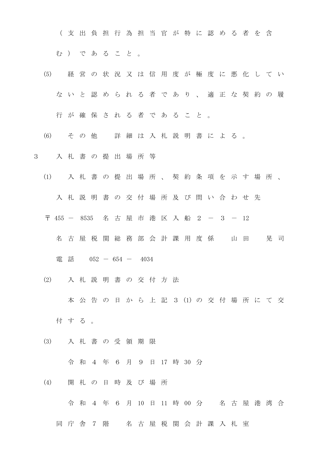( 支 出 負 担 行 為 担 当 官 が 特 に 認 め る 者 を 含 む ) で あ る こ と 。

- (5) 経 営 の 状 況 又 は 信 用 度 が 極 度 に 悪 化 し て い な い と 認 め ら れ る 者 で あ り 、 適 正 な 契 約 の 履
	- 行 が 確 保 さ れ る 者 で あ る こ と 。
- (6) そ の 他 詳 細 は 入 札 説 明 書 に よ る 。
- 3 入 札 書 の 提 出 場 所 等
	- (1) 入 札 書 の 提 出 場 所 、 契 約 条 項 を 示 す 場 所 、
		- 入 札 説 明 書 の 交 付 場 所 及 び 問 い 合 わ せ 先
		- 〒 455 8535 名 古 屋 市 港 区 入 船 2 3 12
			- 名 古 屋 税 関 総 務 部 会 計 課 用 度 係 山 田 晃 司
				- 電 話 052 654 4034
	- (2) 入 札 説 明 書 の 交 付 方 法

本 公 告 の 日 か ら 上 記 3 (1) の 交 付 場 所 に て 交

- 付 す る 。
- (3) 入 札 書 の 受 領 期 限

令 和 4 年 6 月 9 日 17 時 30 分

(4) 開 札 の 日 時 及 び 場 所

令 和 4 年 6 月 10 日 11 時 00 分 名 古 屋 港 湾 合

同 庁 舎 7 階 名 古 屋 税 関 会 計 課 入 札 室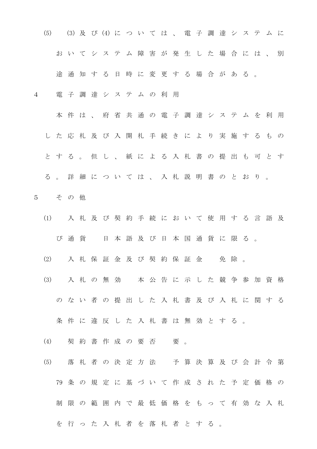(5) (3) 及 び (4) に つ い て は 、 電 子 調 達 シ ス テ ム に お い て シ ス テ ム 障 害 が 発 生 し た 場 合 に は 、 別 途 通 知 す る 日 時 に 変 更 す る 場 合 が あ る 。

- 4 電 子 調 達 シ ス テ ム の 利 用
	- 本件は、府省共通の電子調達システムを利用 し た 応 札 及 び 入 開 札 手 続 き に よ り 実 施 す る も の と す る 。 但 し 、 紙 に よ る 入 札 書 の 提 出 も 可 と す る 。 詳 細 に つ い て は 、 入 札 説 明 書 の と お り 。
- 5 そ の 他
	- (1) 入札及び 契 約 手 続 に お い て 使 用 す る 言 語 及 び 通貨 日本語及び日本国通貨に限る。
	- (2) 入札保証金及び契約保証金 免除。
	- (3) 入 札 の 無 効 本 公 告 に 示 し た 競 争 参 加 資 格 の な い 者 の 提 出 し た 入 札 書 及 び 入 札 に 関 す る 条件に違反した入札書は無効とする。
	- (4) 契約書作成の要否 要。
	- (5) 落 札 者 の 決 定 方 法 予 算 決 算 及 び 会 計 令 第 79 条 の 規 定 に 基 づ い て 作 成 さ れ た 予 定 価 格 の 制 限 の 範 囲 内 で 最 低 価 格 を も っ て 有 効 な 入 札 を 行 っ た 入 札 者 を 落 札 者 と す る 。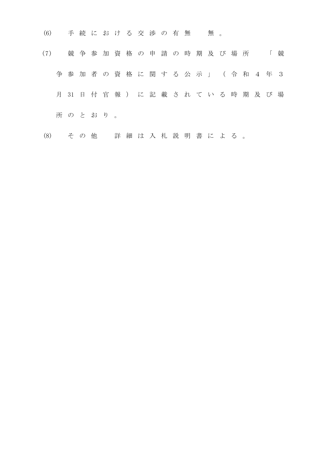- (6) 手続における交渉の有無 無。
- (7) 競 争 参 加 資 格 の 申 請 の 時 期 及 び 場 所 「 競 争参加 者 の 資 格 に 関 す る 公 示 」 ( 令 和 4 年 3 月 31 日 付 官 報 ) に 記 載 さ れ て い る 時 期 及 び 場 所 の と お り 。
- (8) そ の 他 詳 細 は 入 札 説 明 書 に よ る 。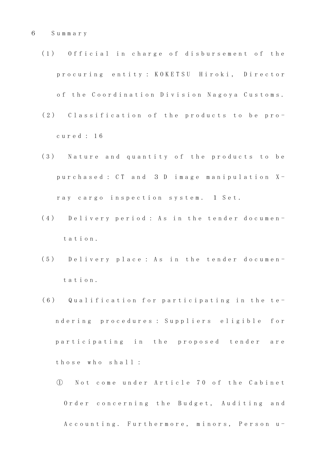- (1) Official in charge of disbursement of the procuring entity: KOKETSU Hiroki, Director of the Coordination Division Nagoya Customs.
- (2) Classification of the products to be proc u r e d : 1 6
- (3) Nature and quantity of the products to be purchased: CT and 3 D image manipulation Xray cargo inspection system. 1 Set.
- (4) Delivery period: As in the tender document a t i o n .
- (5) Delivery place: As in the tender document a t i o n .
- (6) Qualification for participating in the ten d e r i n g p r o c e d u r e s : S u p p l i e r s e l i g i b l e f o r participating in the proposed tender are those who shall:
	- ① N o t c o m e u n d e r A r t i c l e 7 0 o f t h e C a b i n e t Order concerning the Budget, Auditing and A c c o u n t i n g . Furthermore, minors, Person u-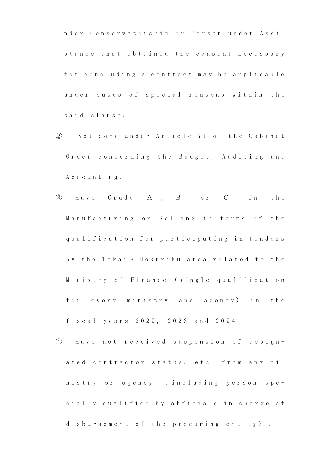nder Conservatorship or Person under Assistance that obtained the consent necessary for concluding a contract may be applicable under cases of special reasons within the said clause.

- ② N o t c o m e u n d e r A r t i c l e 7 1 o f t h e C a b i n e t Order concerning the Budget, Auditing and A c c o u n t i n g .
- ③ H a v e G r a d e A , B o r C i n t h e Manufacturing or Selling in terms of the qualification for participating in tenders by the Tokai · Hokuriku area related to the Ministry of Finance (single qualification for every ministry and agency) in the fiscal years 2022, 2023 and 2024.
- ④ H a v e n o t r e c e i v e d s u s p e n s i o n o f d e s i g n ated contractor status, etc. from any ministry or agency (including person specially qualified by officials in charge of disbursement of the procuring entity).